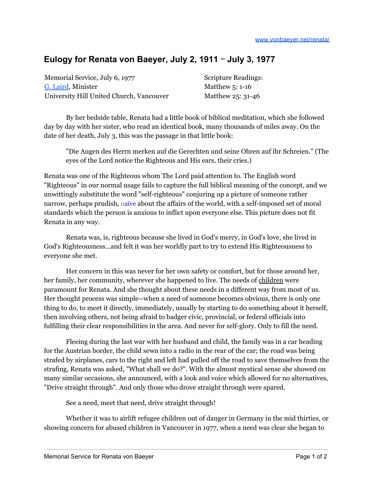## **Eulogy for Renata von Baeyer, July 2, 1911** ‒ **July 3, 1977**

Memorial Service, July 6, 1977 G. [Laird](https://www1.freewebs.com/gordonlaird/resume.html), Minister University Hill United Church, Vancouver

Scripture Readings: Matthew 5: 1-16 Matthew 25: 31-46

By her bedside table, Renata had a little book of biblical meditation, which she followed day by day with her sister, who read an identical book, many thousands of miles away. On the date of her death, July 3, this was the passage in that little book:

"Die Augen des Herrn merken auf die Gerechten und seine Ohren auf ihr Schreien." (The eyes of the Lord notice the Righteous and His ears, their cries.)

Renata was one of the Righteous whom The Lord paid attention to. The English word "Righteous" in our normal usage fails to capture the full biblical meaning of the concept, and we unwittingly substitute the word "self-righteous" conjuring up a picture of someone rather narrow, perhaps prudish, n[aïve](https://en.wiktionary.org/wiki/na%C3%AFvet%C3%A9) about the affairs of the world, with a self-imposed set of moral standards which the person is anxious to inflict upon everyone else. This picture does not fit Renata in any way.

Renata was, is, righteous because she lived in God's mercy, in God's love, she lived in God's Righteousness...and felt it was her worldly part to try to extend His Righteousness to everyone she met.

Her concern in this was never for her own safety or comfort, but for those around her, her family, her community, wherever she happened to live. The needs of children were paramount for Renata. And she thought about these needs in a different way from most of us. Her thought process was simple--when a need of someone becomes obvious, there is only one thing to do, to meet it directly, immediately, usually by starting to do something about it herself, then involving others, not being afraid to badger civic, provincial, or federal officials into fulfilling their clear responsibilities in the area. And never for self-glory. Only to fill the need.

Fleeing during the last war with her husband and child, the family was in a car heading for the Austrian border, the child sewn into a radio in the rear of the car; the road was being strafed by airplanes, cars to the right and left had pulled off the road to save themselves from the strafing, Renata was asked, "What shall we do?". With the almost mystical sense she showed on many similar occasions, she announced, with a look and voice which allowed for no alternatives, "Drive straight through". And only those who drove straight through were spared.

See a need, meet that need, drive straight through!

Whether it was to airlift refugee children out of danger in Germany in the mid thirties, or showing concern for abused children in Vancouver in 1977, when a need was clear she began to